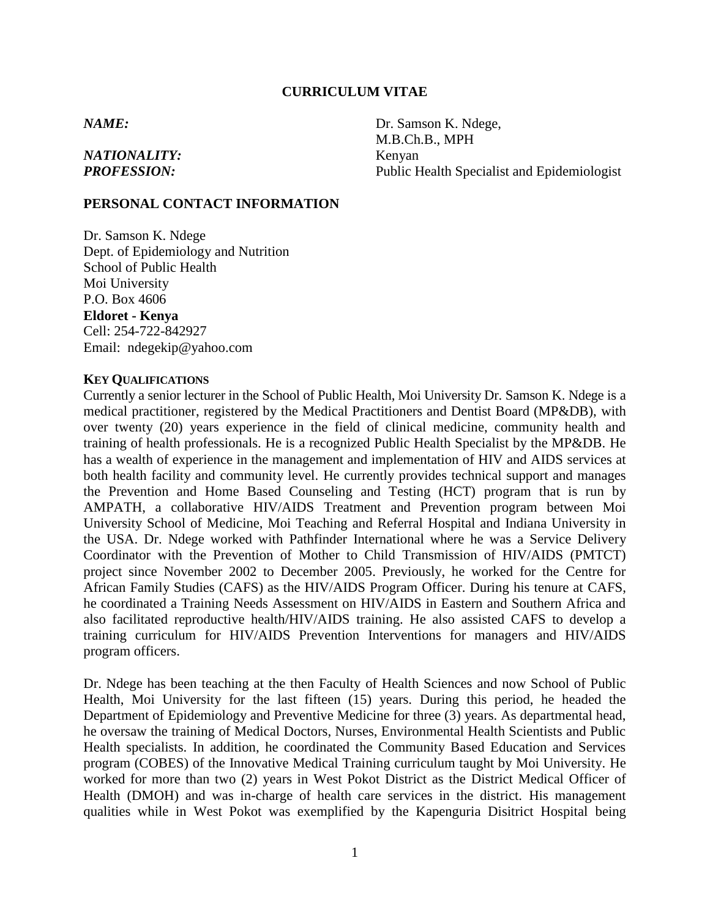#### **CURRICULUM VITAE**

# *NATIONALITY:* Kenyan

*NAME:* Dr. Samson K. Ndege, M.B.Ch.B., MPH **PROFESSION:** Public Health Specialist and Epidemiologist

### **PERSONAL CONTACT INFORMATION**

Dr. Samson K. Ndege Dept. of Epidemiology and Nutrition School of Public Health Moi University P.O. Box 4606 **Eldoret - Kenya** Cell: 254-722-842927 Email: ndegekip@yahoo.com

#### **KEY QUALIFICATIONS**

Currently a senior lecturer in the School of Public Health, Moi University Dr. Samson K. Ndege is a medical practitioner, registered by the Medical Practitioners and Dentist Board (MP&DB), with over twenty (20) years experience in the field of clinical medicine, community health and training of health professionals. He is a recognized Public Health Specialist by the MP&DB. He has a wealth of experience in the management and implementation of HIV and AIDS services at both health facility and community level. He currently provides technical support and manages the Prevention and Home Based Counseling and Testing (HCT) program that is run by AMPATH, a collaborative HIV/AIDS Treatment and Prevention program between Moi University School of Medicine, Moi Teaching and Referral Hospital and Indiana University in the USA. Dr. Ndege worked with Pathfinder International where he was a Service Delivery Coordinator with the Prevention of Mother to Child Transmission of HIV/AIDS (PMTCT) project since November 2002 to December 2005. Previously, he worked for the Centre for African Family Studies (CAFS) as the HIV/AIDS Program Officer. During his tenure at CAFS, he coordinated a Training Needs Assessment on HIV/AIDS in Eastern and Southern Africa and also facilitated reproductive health/HIV/AIDS training. He also assisted CAFS to develop a training curriculum for HIV/AIDS Prevention Interventions for managers and HIV/AIDS program officers.

Dr. Ndege has been teaching at the then Faculty of Health Sciences and now School of Public Health, Moi University for the last fifteen (15) years. During this period, he headed the Department of Epidemiology and Preventive Medicine for three (3) years. As departmental head, he oversaw the training of Medical Doctors, Nurses, Environmental Health Scientists and Public Health specialists. In addition, he coordinated the Community Based Education and Services program (COBES) of the Innovative Medical Training curriculum taught by Moi University. He worked for more than two (2) years in West Pokot District as the District Medical Officer of Health (DMOH) and was in-charge of health care services in the district. His management qualities while in West Pokot was exemplified by the Kapenguria Disitrict Hospital being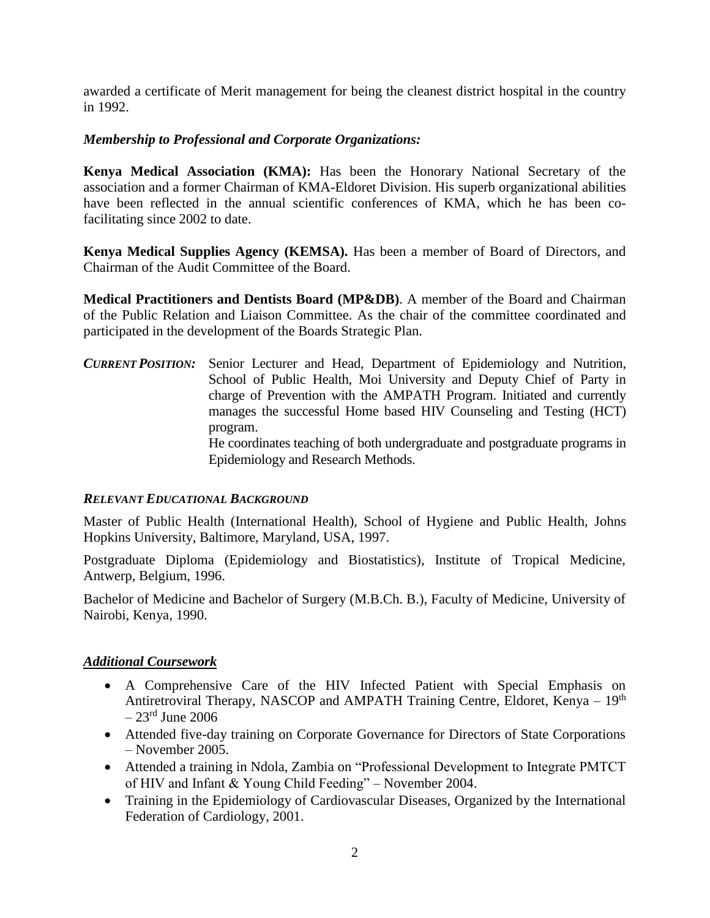awarded a certificate of Merit management for being the cleanest district hospital in the country in 1992.

## *Membership to Professional and Corporate Organizations:*

**Kenya Medical Association (KMA):** Has been the Honorary National Secretary of the association and a former Chairman of KMA-Eldoret Division. His superb organizational abilities have been reflected in the annual scientific conferences of KMA, which he has been cofacilitating since 2002 to date.

**Kenya Medical Supplies Agency (KEMSA).** Has been a member of Board of Directors, and Chairman of the Audit Committee of the Board.

**Medical Practitioners and Dentists Board (MP&DB)**. A member of the Board and Chairman of the Public Relation and Liaison Committee. As the chair of the committee coordinated and participated in the development of the Boards Strategic Plan.

*CURRENT POSITION:* Senior Lecturer and Head, Department of Epidemiology and Nutrition, School of Public Health, Moi University and Deputy Chief of Party in charge of Prevention with the AMPATH Program. Initiated and currently manages the successful Home based HIV Counseling and Testing (HCT) program. He coordinates teaching of both undergraduate and postgraduate programs in Epidemiology and Research Methods.

### *RELEVANT EDUCATIONAL BACKGROUND*

Master of Public Health (International Health), School of Hygiene and Public Health, Johns Hopkins University, Baltimore, Maryland, USA, 1997.

Postgraduate Diploma (Epidemiology and Biostatistics), Institute of Tropical Medicine, Antwerp, Belgium, 1996.

Bachelor of Medicine and Bachelor of Surgery (M.B.Ch. B.), Faculty of Medicine, University of Nairobi, Kenya, 1990.

## *Additional Coursework*

- A Comprehensive Care of the HIV Infected Patient with Special Emphasis on Antiretroviral Therapy, NASCOP and AMPATH Training Centre, Eldoret, Kenya – 19<sup>th</sup>  $-23$ <sup>rd</sup> June 2006
- Attended five-day training on Corporate Governance for Directors of State Corporations – November 2005.
- Attended a training in Ndola, Zambia on "Professional Development to Integrate PMTCT of HIV and Infant & Young Child Feeding" – November 2004.
- Training in the Epidemiology of Cardiovascular Diseases, Organized by the International Federation of Cardiology, 2001.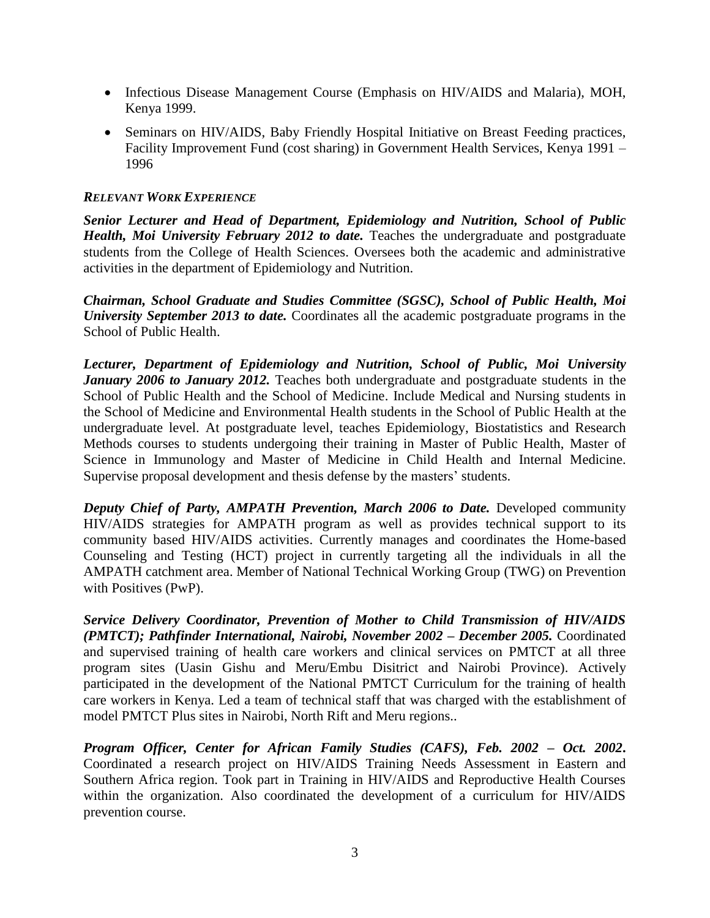- Infectious Disease Management Course (Emphasis on HIV/AIDS and Malaria), MOH, Kenya 1999.
- Seminars on HIV/AIDS, Baby Friendly Hospital Initiative on Breast Feeding practices, Facility Improvement Fund (cost sharing) in Government Health Services, Kenya 1991 – 1996

## *RELEVANT WORK EXPERIENCE*

*Senior Lecturer and Head of Department, Epidemiology and Nutrition, School of Public Health, Moi University February 2012 to date.* Teaches the undergraduate and postgraduate students from the College of Health Sciences. Oversees both the academic and administrative activities in the department of Epidemiology and Nutrition.

*Chairman, School Graduate and Studies Committee (SGSC), School of Public Health, Moi University September 2013 to date.* Coordinates all the academic postgraduate programs in the School of Public Health.

*Lecturer, Department of Epidemiology and Nutrition, School of Public, Moi University January 2006 to January 2012.* Teaches both undergraduate and postgraduate students in the School of Public Health and the School of Medicine. Include Medical and Nursing students in the School of Medicine and Environmental Health students in the School of Public Health at the undergraduate level. At postgraduate level, teaches Epidemiology, Biostatistics and Research Methods courses to students undergoing their training in Master of Public Health, Master of Science in Immunology and Master of Medicine in Child Health and Internal Medicine. Supervise proposal development and thesis defense by the masters' students.

*Deputy Chief of Party, AMPATH Prevention, March 2006 to Date.* Developed community HIV/AIDS strategies for AMPATH program as well as provides technical support to its community based HIV/AIDS activities. Currently manages and coordinates the Home-based Counseling and Testing (HCT) project in currently targeting all the individuals in all the AMPATH catchment area. Member of National Technical Working Group (TWG) on Prevention with Positives (PwP).

*Service Delivery Coordinator, Prevention of Mother to Child Transmission of HIV/AIDS (PMTCT); Pathfinder International, Nairobi, November 2002 – December 2005.* Coordinated and supervised training of health care workers and clinical services on PMTCT at all three program sites (Uasin Gishu and Meru/Embu Disitrict and Nairobi Province). Actively participated in the development of the National PMTCT Curriculum for the training of health care workers in Kenya. Led a team of technical staff that was charged with the establishment of model PMTCT Plus sites in Nairobi, North Rift and Meru regions..

*Program Officer, Center for African Family Studies (CAFS), Feb. 2002 – Oct. 2002***.** Coordinated a research project on HIV/AIDS Training Needs Assessment in Eastern and Southern Africa region. Took part in Training in HIV/AIDS and Reproductive Health Courses within the organization. Also coordinated the development of a curriculum for HIV/AIDS prevention course.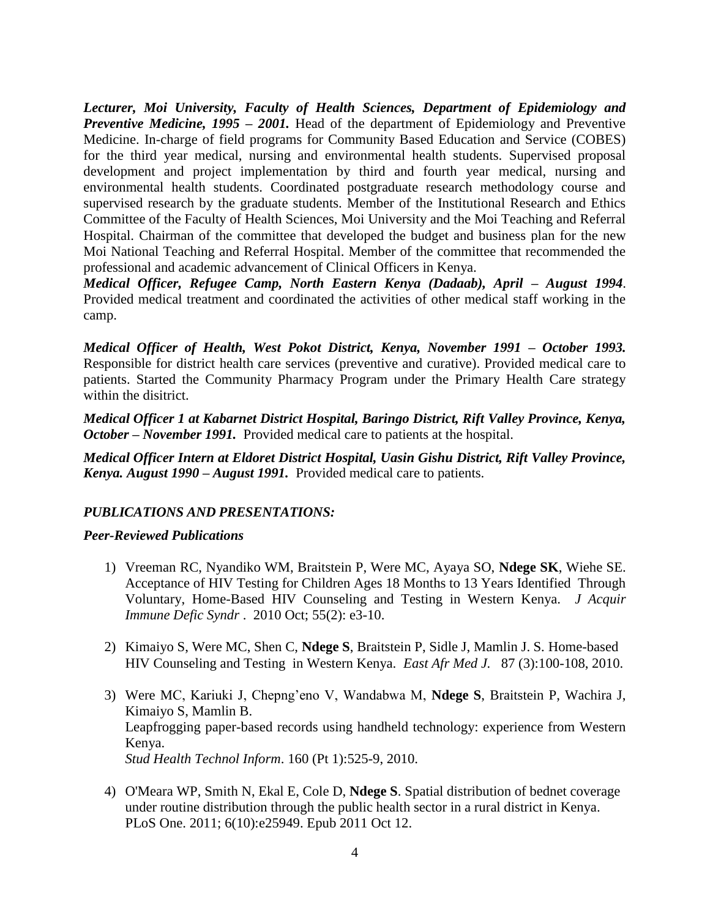*Lecturer, Moi University, Faculty of Health Sciences, Department of Epidemiology and Preventive Medicine, 1995 – 2001.* Head of the department of Epidemiology and Preventive Medicine. In-charge of field programs for Community Based Education and Service (COBES) for the third year medical, nursing and environmental health students. Supervised proposal development and project implementation by third and fourth year medical, nursing and environmental health students. Coordinated postgraduate research methodology course and supervised research by the graduate students. Member of the Institutional Research and Ethics Committee of the Faculty of Health Sciences, Moi University and the Moi Teaching and Referral Hospital. Chairman of the committee that developed the budget and business plan for the new Moi National Teaching and Referral Hospital. Member of the committee that recommended the professional and academic advancement of Clinical Officers in Kenya.

*Medical Officer, Refugee Camp, North Eastern Kenya (Dadaab), April – August 1994*. Provided medical treatment and coordinated the activities of other medical staff working in the camp.

*Medical Officer of Health, West Pokot District, Kenya, November 1991 – October 1993.* Responsible for district health care services (preventive and curative). Provided medical care to patients. Started the Community Pharmacy Program under the Primary Health Care strategy within the disitrict.

*Medical Officer 1 at Kabarnet District Hospital, Baringo District, Rift Valley Province, Kenya, October – November 1991.* Provided medical care to patients at the hospital.

*Medical Officer Intern at Eldoret District Hospital, Uasin Gishu District, Rift Valley Province, Kenya. August 1990 – August 1991.* Provided medical care to patients.

### *PUBLICATIONS AND PRESENTATIONS:*

### *Peer-Reviewed Publications*

- 1) Vreeman RC, Nyandiko WM, Braitstein P, Were MC, Ayaya SO, **Ndege SK**, Wiehe SE. Acceptance of HIV Testing for Children Ages 18 Months to 13 Years Identified Through Voluntary, Home-Based HIV Counseling and Testing in Western Kenya. *J Acquir Immune Defic Syndr* . 2010 Oct; 55(2): e3-10.
- 2) Kimaiyo S, Were MC, Shen C, **Ndege S**, Braitstein P, Sidle J, Mamlin J. S*.* Home-based HIV Counseling and Testing in Western Kenya. *East Afr Med J.* 87 (3):100-108, 2010.
- 3) Were MC, Kariuki J, Chepng'eno V, Wandabwa M, **Ndege S**, Braitstein P, Wachira J, Kimaiyo S, Mamlin B. Leapfrogging paper-based records using handheld technology: experience from Western Kenya. *Stud Health Technol Inform*. 160 (Pt 1):525-9, 2010.
- 4) O'Meara WP, Smith N, Ekal E, Cole D, **Ndege S**. Spatial distribution of bednet coverage under routine distribution through the public health sector in a rural district in Kenya. PLoS One. 2011; 6(10):e25949. Epub 2011 Oct 12.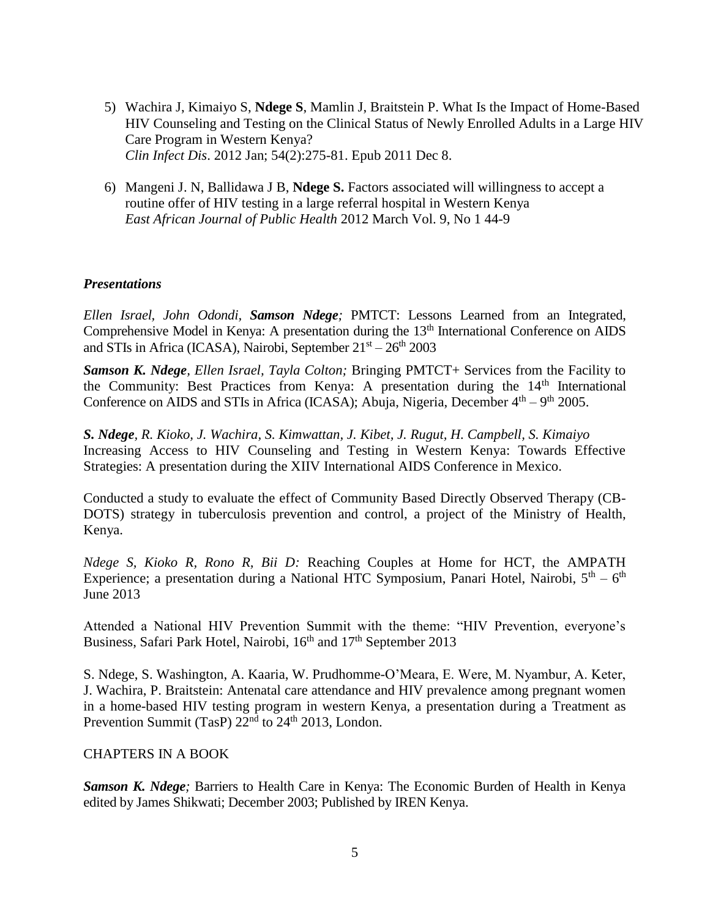- 5) Wachira J, Kimaiyo S, **Ndege S**, Mamlin J, Braitstein P. What Is the Impact of Home-Based HIV Counseling and Testing on the Clinical Status of Newly Enrolled Adults in a Large HIV Care Program in Western Kenya? *Clin Infect Dis*. 2012 Jan; 54(2):275-81. Epub 2011 Dec 8.
- 6) Mangeni J. N, Ballidawa J B, **Ndege S.** Factors associated will willingness to accept a routine offer of HIV testing in a large referral hospital in Western Kenya *East African Journal of Public Health* 2012 March Vol. 9, No 1 44-9

#### *Presentations*

*Ellen Israel, John Odondi, Samson Ndege;* PMTCT: Lessons Learned from an Integrated, Comprehensive Model in Kenya: A presentation during the 13<sup>th</sup> International Conference on AIDS and STIs in Africa (ICASA), Nairobi, September  $21<sup>st</sup> - 26<sup>th</sup>$  2003

*Samson K. Ndege, Ellen Israel, Tayla Colton;* Bringing PMTCT+ Services from the Facility to the Community: Best Practices from Kenya: A presentation during the 14<sup>th</sup> International Conference on AIDS and STIs in Africa (ICASA); Abuja, Nigeria, December  $4<sup>th</sup> - 9<sup>th</sup>$  2005.

*S. Ndege, R. Kioko, J. Wachira, S. Kimwattan, J. Kibet, J. Rugut, H. Campbell, S. Kimaiyo* Increasing Access to HIV Counseling and Testing in Western Kenya: Towards Effective Strategies: A presentation during the XIIV International AIDS Conference in Mexico.

Conducted a study to evaluate the effect of Community Based Directly Observed Therapy (CB-DOTS) strategy in tuberculosis prevention and control, a project of the Ministry of Health, Kenya.

*Ndege S, Kioko R, Rono R, Bii D:* Reaching Couples at Home for HCT, the AMPATH Experience; a presentation during a National HTC Symposium, Panari Hotel, Nairobi,  $5<sup>th</sup> - 6<sup>th</sup>$ June 2013

Attended a National HIV Prevention Summit with the theme: "HIV Prevention, everyone's Business, Safari Park Hotel, Nairobi, 16<sup>th</sup> and 17<sup>th</sup> September 2013

S. Ndege, S. Washington, A. Kaaria, W. Prudhomme-O'Meara, E. Were, M. Nyambur, A. Keter, J. Wachira, P. Braitstein: Antenatal care attendance and HIV prevalence among pregnant women in a home-based HIV testing program in western Kenya, a presentation during a Treatment as Prevention Summit (TasP)  $22<sup>nd</sup>$  to  $24<sup>th</sup>$  2013, London.

### CHAPTERS IN A BOOK

*Samson K. Ndege;* Barriers to Health Care in Kenya: The Economic Burden of Health in Kenya edited by James Shikwati; December 2003; Published by IREN Kenya.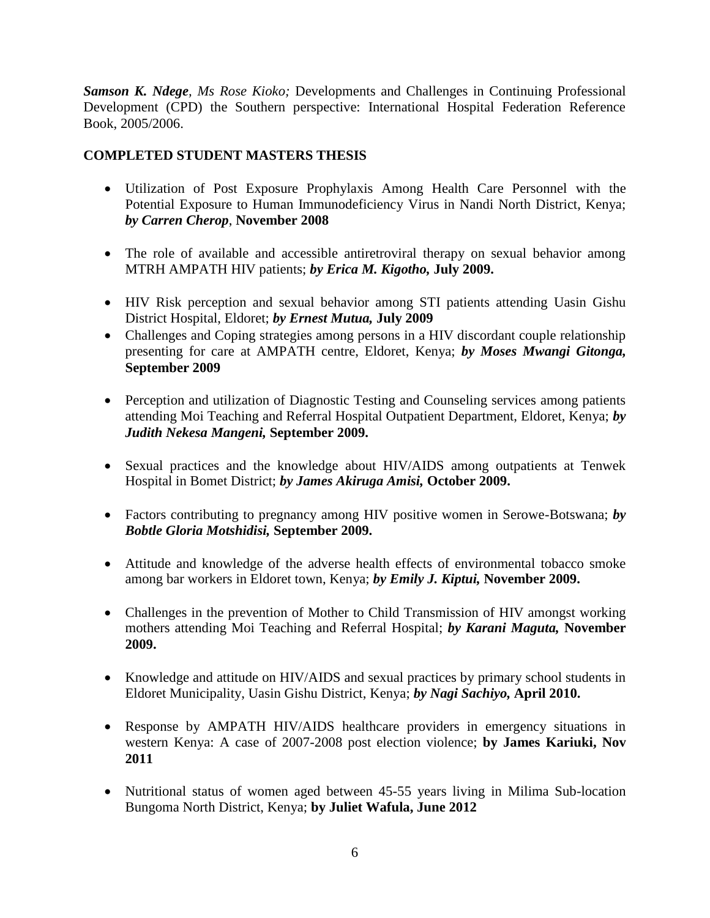*Samson K. Ndege, Ms Rose Kioko;* Developments and Challenges in Continuing Professional Development (CPD) the Southern perspective: International Hospital Federation Reference Book, 2005/2006.

# **COMPLETED STUDENT MASTERS THESIS**

- Utilization of Post Exposure Prophylaxis Among Health Care Personnel with the Potential Exposure to Human Immunodeficiency Virus in Nandi North District, Kenya; *by Carren Cherop*, **November 2008**
- The role of available and accessible antiretroviral therapy on sexual behavior among MTRH AMPATH HIV patients; *by Erica M. Kigotho,* **July 2009.**
- HIV Risk perception and sexual behavior among STI patients attending Uasin Gishu District Hospital, Eldoret; *by Ernest Mutua,* **July 2009**
- Challenges and Coping strategies among persons in a HIV discordant couple relationship presenting for care at AMPATH centre, Eldoret, Kenya; *by Moses Mwangi Gitonga,* **September 2009**
- Perception and utilization of Diagnostic Testing and Counseling services among patients attending Moi Teaching and Referral Hospital Outpatient Department, Eldoret, Kenya; *by Judith Nekesa Mangeni,* **September 2009.**
- Sexual practices and the knowledge about HIV/AIDS among outpatients at Tenwek Hospital in Bomet District; *by James Akiruga Amisi,* **October 2009.**
- Factors contributing to pregnancy among HIV positive women in Serowe-Botswana; *by Bobtle Gloria Motshidisi,* **September 2009.**
- Attitude and knowledge of the adverse health effects of environmental tobacco smoke among bar workers in Eldoret town, Kenya; *by Emily J. Kiptui,* **November 2009.**
- Challenges in the prevention of Mother to Child Transmission of HIV amongst working mothers attending Moi Teaching and Referral Hospital; *by Karani Maguta,* **November 2009.**
- Knowledge and attitude on HIV/AIDS and sexual practices by primary school students in Eldoret Municipality, Uasin Gishu District, Kenya; *by Nagi Sachiyo,* **April 2010.**
- Response by AMPATH HIV/AIDS healthcare providers in emergency situations in western Kenya: A case of 2007-2008 post election violence; **by James Kariuki, Nov 2011**
- Nutritional status of women aged between 45-55 years living in Milima Sub-location Bungoma North District, Kenya; **by Juliet Wafula, June 2012**